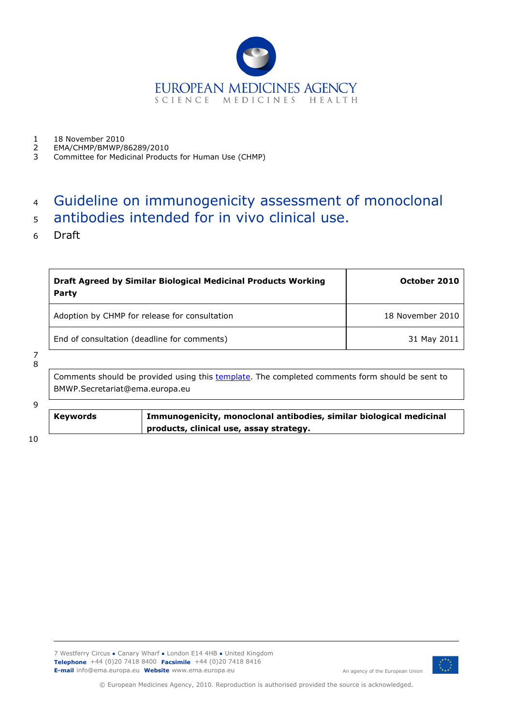

- 1 18 November 2010<br>2 FMA/CHMP/BMWP/8
- 2 EMA/CHMP/BMWP/86289/2010<br>3 Committee for Medicinal Produc
- 3 Committee for Medicinal Products for Human Use (CHMP)

# <sup>4</sup> Guideline on immunogenicity assessment of monoclonal

- <sup>5</sup> antibodies intended for in vivo clinical use.
- 6 Draft

| Draft Agreed by Similar Biological Medicinal Products Working<br>Party | October 2010     |
|------------------------------------------------------------------------|------------------|
| Adoption by CHMP for release for consultation                          | 18 November 2010 |
| End of consultation (deadline for comments)                            | 31 May 2011      |

#### 7 8

Comments should be provided using this [template.](http://www.ema.europa.eu/pdfs/human/regaffair/submitcomment.doc) The completed comments form should be sent to BMWP.Secretariat@ema.europa.eu

#### $\overline{q}$

**Keywords Immunogenicity, monoclonal antibodies, similar biological medicinal products, clinical use, assay strategy.**

10



© European Medicines Agency, 2010. Reproduction is authorised provided the source is acknowledged.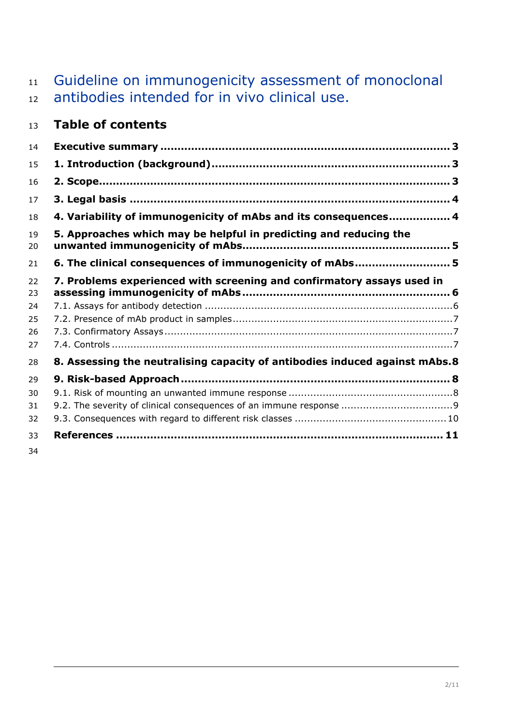# Guideline on immunogenicity assessment of monoclonal antibodies intended for in vivo clinical use.

# **Table of contents**

| 14       |                                                                             |
|----------|-----------------------------------------------------------------------------|
| 15       |                                                                             |
| 16       |                                                                             |
| 17       |                                                                             |
| 18       | 4. Variability of immunogenicity of mAbs and its consequences 4             |
| 19<br>20 | 5. Approaches which may be helpful in predicting and reducing the           |
| 21       | 6. The clinical consequences of immunogenicity of mAbs 5                    |
| 22<br>23 | 7. Problems experienced with screening and confirmatory assays used in      |
| 24       |                                                                             |
| 25       |                                                                             |
| 26       |                                                                             |
| 27       |                                                                             |
| 28       | 8. Assessing the neutralising capacity of antibodies induced against mAbs.8 |
| 29       |                                                                             |
| 30       |                                                                             |
| 31       |                                                                             |
| 32       |                                                                             |
| 33       |                                                                             |
| 34       |                                                                             |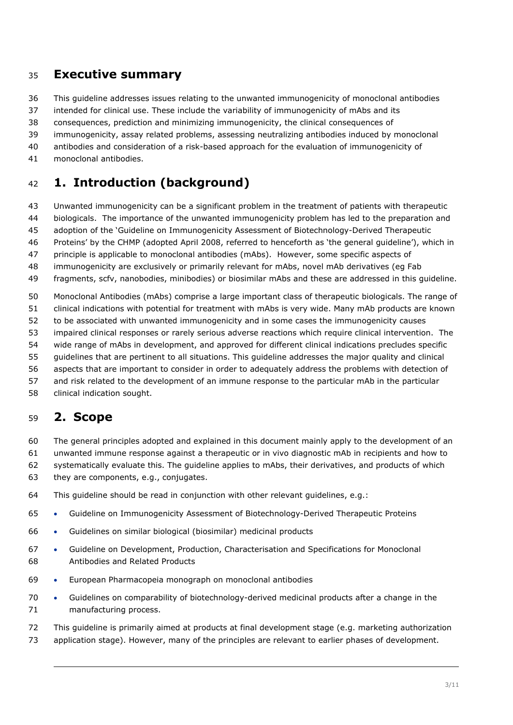#### <span id="page-2-0"></span>**Executive summary**

This guideline addresses issues relating to the unwanted immunogenicity of monoclonal antibodies

intended for clinical use. These include the variability of immunogenicity of mAbs and its

consequences, prediction and minimizing immunogenicity, the clinical consequences of

immunogenicity, assay related problems, assessing neutralizing antibodies induced by monoclonal

antibodies and consideration of a risk-based approach for the evaluation of immunogenicity of

monoclonal antibodies.

# <span id="page-2-1"></span>**1. Introduction (background)**

Unwanted immunogenicity can be a significant problem in the treatment of patients with therapeutic

biologicals. The importance of the unwanted immunogenicity problem has led to the preparation and

- adoption of the 'Guideline on Immunogenicity Assessment of Biotechnology-Derived Therapeutic
- Proteins' by the CHMP (adopted April 2008, referred to henceforth as 'the general guideline'), which in

principle is applicable to monoclonal antibodies (mAbs). However, some specific aspects of

immunogenicity are exclusively or primarily relevant for mAbs, novel mAb derivatives (eg Fab

fragments, scfv, nanobodies, minibodies) or biosimilar mAbs and these are addressed in this guideline.

Monoclonal Antibodies (mAbs) comprise a large important class of therapeutic biologicals. The range of

clinical indications with potential for treatment with mAbs is very wide. Many mAb products are known

to be associated with unwanted immunogenicity and in some cases the immunogenicity causes

impaired clinical responses or rarely serious adverse reactions which require clinical intervention. The

wide range of mAbs in development, and approved for different clinical indications precludes specific

guidelines that are pertinent to all situations. This guideline addresses the major quality and clinical

aspects that are important to consider in order to adequately address the problems with detection of

and risk related to the development of an immune response to the particular mAb in the particular

#### clinical indication sought.

#### <span id="page-2-2"></span>**2. Scope**

The general principles adopted and explained in this document mainly apply to the development of an

unwanted immune response against a therapeutic or in vivo diagnostic mAb in recipients and how to

systematically evaluate this. The guideline applies to mAbs, their derivatives, and products of which

- they are components, e.g., conjugates.
- This guideline should be read in conjunction with other relevant guidelines, e.g.:
- Guideline on Immunogenicity Assessment of Biotechnology-Derived Therapeutic Proteins
- Guidelines on similar biological (biosimilar) medicinal products
- Guideline on Development, Production, Characterisation and Specifications for Monoclonal Antibodies and Related Products
- European Pharmacopeia monograph on monoclonal antibodies
- Guidelines on comparability of biotechnology-derived medicinal products after a change in the manufacturing process.

This guideline is primarily aimed at products at final development stage (e.g. marketing authorization

application stage). However, many of the principles are relevant to earlier phases of development.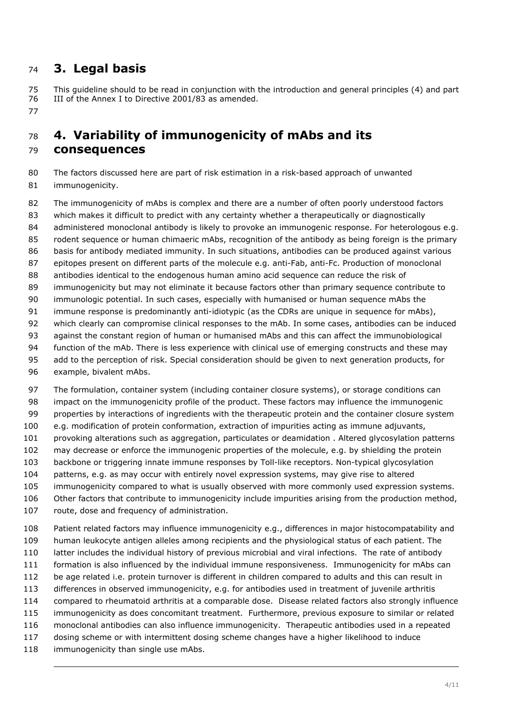### <span id="page-3-0"></span>**3. Legal basis**

 This guideline should to be read in conjunction with the introduction and general principles (4) and part III of the Annex I to Directive 2001/83 as amended.

## <span id="page-3-1"></span> **4. Variability of immunogenicity of mAbs and its consequences**

 The factors discussed here are part of risk estimation in a risk-based approach of unwanted immunogenicity.

82 The immunogenicity of mAbs is complex and there are a number of often poorly understood factors which makes it difficult to predict with any certainty whether a therapeutically or diagnostically administered monoclonal antibody is likely to provoke an immunogenic response. For heterologous e.g. rodent sequence or human chimaeric mAbs, recognition of the antibody as being foreign is the primary basis for antibody mediated immunity. In such situations, antibodies can be produced against various epitopes present on different parts of the molecule e.g. anti-Fab, anti-Fc. Production of monoclonal antibodies identical to the endogenous human amino acid sequence can reduce the risk of 89 immunogenicity but may not eliminate it because factors other than primary sequence contribute to immunologic potential. In such cases, especially with humanised or human sequence mAbs the immune response is predominantly anti-idiotypic (as the CDRs are unique in sequence for mAbs), which clearly can compromise clinical responses to the mAb. In some cases, antibodies can be induced against the constant region of human or humanised mAbs and this can affect the immunobiological function of the mAb. There is less experience with clinical use of emerging constructs and these may add to the perception of risk. Special consideration should be given to next generation products, for example, bivalent mAbs.

 The formulation, container system (including container closure systems), or storage conditions can impact on the immunogenicity profile of the product. These factors may influence the immunogenic 99 properties by interactions of ingredients with the therapeutic protein and the container closure system e.g. modification of protein conformation, extraction of impurities acting as immune adjuvants, provoking alterations such as aggregation, particulates or deamidation . Altered glycosylation patterns may decrease or enforce the immunogenic properties of the molecule, e.g. by shielding the protein backbone or triggering innate immune responses by Toll-like receptors. Non-typical glycosylation patterns, e.g. as may occur with entirely novel expression systems, may give rise to altered immunogenicity compared to what is usually observed with more commonly used expression systems. 106 Other factors that contribute to immunogenicity include impurities arising from the production method, 107 route, dose and frequency of administration.

 Patient related factors may influence immunogenicity e.g., differences in major histocompatability and human leukocyte antigen alleles among recipients and the physiological status of each patient. The latter includes the individual history of previous microbial and viral infections. The rate of antibody formation is also influenced by the individual immune responsiveness. Immunogenicity for mAbs can be age related i.e. protein turnover is different in children compared to adults and this can result in differences in observed immunogenicity, e.g. for antibodies used in treatment of juvenile arthritis compared to rheumatoid arthritis at a comparable dose. Disease related factors also strongly influence immunogenicity as does concomitant treatment. Furthermore, previous exposure to similar or related monoclonal antibodies can also influence immunogenicity. Therapeutic antibodies used in a repeated dosing scheme or with intermittent dosing scheme changes have a higher likelihood to induce 118 immunogenicity than single use mAbs.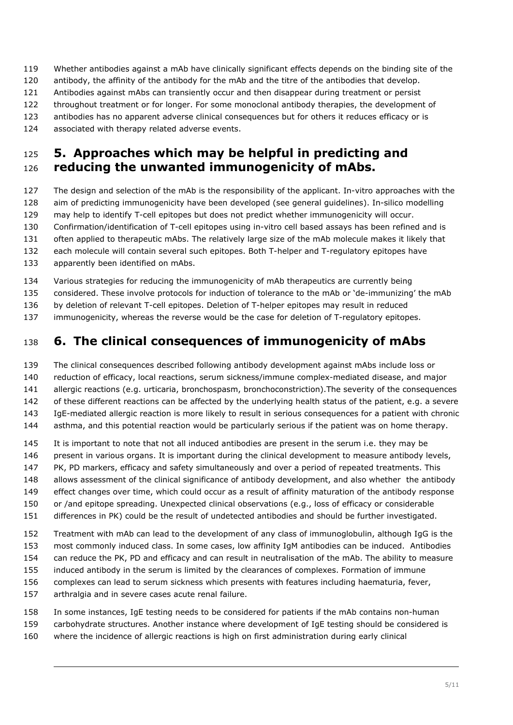- Whether antibodies against a mAb have clinically significant effects depends on the binding site of the
- antibody, the affinity of the antibody for the mAb and the titre of the antibodies that develop.
- Antibodies against mAbs can transiently occur and then disappear during treatment or persist
- throughout treatment or for longer. For some monoclonal antibody therapies, the development of
- antibodies has no apparent adverse clinical consequences but for others it reduces efficacy or is
- associated with therapy related adverse events.

#### <span id="page-4-0"></span> **5. Approaches which may be helpful in predicting and reducing the unwanted immunogenicity of mAbs.**

- The design and selection of the mAb is the responsibility of the applicant. In-vitro approaches with the aim of predicting immunogenicity have been developed (see general guidelines). In-silico modelling may help to identify T-cell epitopes but does not predict whether immunogenicity will occur. Confirmation/identification of T-cell epitopes using in-vitro cell based assays has been refined and is often applied to therapeutic mAbs. The relatively large size of the mAb molecule makes it likely that each molecule will contain several such epitopes. Both T-helper and T-regulatory epitopes have
- apparently been identified on mAbs.
- Various strategies for reducing the immunogenicity of mAb therapeutics are currently being
- considered. These involve protocols for induction of tolerance to the mAb or 'de-immunizing' the mAb
- by deletion of relevant T-cell epitopes. Deletion of T-helper epitopes may result in reduced
- immunogenicity, whereas the reverse would be the case for deletion of T-regulatory epitopes.

# <span id="page-4-1"></span>**6. The clinical consequences of immunogenicity of mAbs**

- The clinical consequences described following antibody development against mAbs include loss or
- reduction of efficacy, local reactions, serum sickness/immune complex-mediated disease, and major
- allergic reactions (e.g. urticaria, bronchospasm, bronchoconstriction).The severity of the consequences
- of these different reactions can be affected by the underlying health status of the patient, e.g. a severe
- IgE-mediated allergic reaction is more likely to result in serious consequences for a patient with chronic
- 144 asthma, and this potential reaction would be particularly serious if the patient was on home therapy.
- It is important to note that not all induced antibodies are present in the serum i.e. they may be
- 146 present in various organs. It is important during the clinical development to measure antibody levels,
- PK, PD markers, efficacy and safety simultaneously and over a period of repeated treatments. This
- 148 allows assessment of the clinical significance of antibody development, and also whether the antibody
- effect changes over time, which could occur as a result of affinity maturation of the antibody response
- or /and epitope spreading. Unexpected clinical observations (e.g., loss of efficacy or considerable
- differences in PK) could be the result of undetected antibodies and should be further investigated.
- Treatment with mAb can lead to the development of any class of immunoglobulin, although IgG is the most commonly induced class. In some cases, low affinity IgM antibodies can be induced. Antibodies can reduce the PK, PD and efficacy and can result in neutralisation of the mAb. The ability to measure induced antibody in the serum is limited by the clearances of complexes. Formation of immune
- complexes can lead to serum sickness which presents with features including haematuria, fever,
- arthralgia and in severe cases acute renal failure.
- In some instances, IgE testing needs to be considered for patients if the mAb contains non-human
- carbohydrate structures. Another instance where development of IgE testing should be considered is
- where the incidence of allergic reactions is high on first administration during early clinical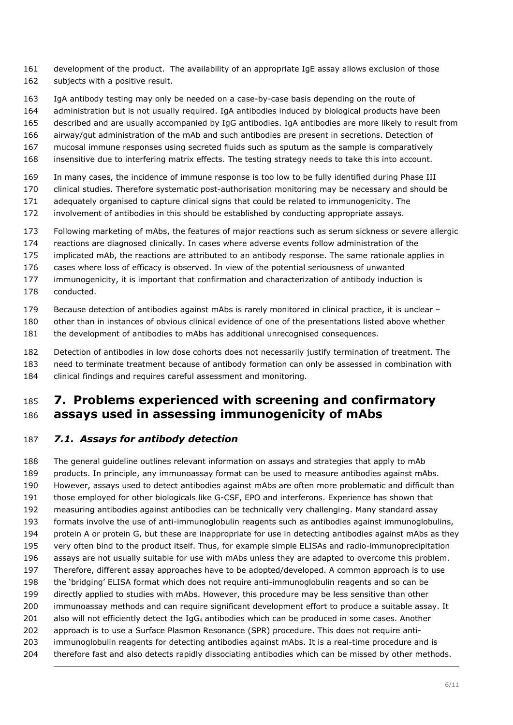- development of the product. The availability of an appropriate IgE assay allows exclusion of those 162 subjects with a positive result.
- IgA antibody testing may only be needed on a case-by-case basis depending on the route of
- administration but is not usually required. IgA antibodies induced by biological products have been
- described and are usually accompanied by IgG antibodies. IgA antibodies are more likely to result from
- airway/gut administration of the mAb and such antibodies are present in secretions. Detection of
- mucosal immune responses using secreted fluids such as sputum as the sample is comparatively
- insensitive due to interfering matrix effects. The testing strategy needs to take this into account.
- In many cases, the incidence of immune response is too low to be fully identified during Phase III
- clinical studies. Therefore systematic post-authorisation monitoring may be necessary and should be
- adequately organised to capture clinical signs that could be related to immunogenicity. The
- involvement of antibodies in this should be established by conducting appropriate assays.
- Following marketing of mAbs, the features of major reactions such as serum sickness or severe allergic
- reactions are diagnosed clinically. In cases where adverse events follow administration of the
- implicated mAb, the reactions are attributed to an antibody response. The same rationale applies in
- cases where loss of efficacy is observed. In view of the potential seriousness of unwanted
- immunogenicity, it is important that confirmation and characterization of antibody induction is
- conducted.
- Because detection of antibodies against mAbs is rarely monitored in clinical practice, it is unclear –
- other than in instances of obvious clinical evidence of one of the presentations listed above whether
- the development of antibodies to mAbs has additional unrecognised consequences.
- Detection of antibodies in low dose cohorts does not necessarily justify termination of treatment. The
- need to terminate treatment because of antibody formation can only be assessed in combination with
- clinical findings and requires careful assessment and monitoring.

#### <span id="page-5-0"></span> **7. Problems experienced with screening and confirmatory assays used in assessing immunogenicity of mAbs**

#### <span id="page-5-1"></span>*7.1. Assays for antibody detection*

 The general guideline outlines relevant information on assays and strategies that apply to mAb products. In principle, any immunoassay format can be used to measure antibodies against mAbs. However, assays used to detect antibodies against mAbs are often more problematic and difficult than those employed for other biologicals like G-CSF, EPO and interferons. Experience has shown that measuring antibodies against antibodies can be technically very challenging. Many standard assay formats involve the use of anti-immunoglobulin reagents such as antibodies against immunoglobulins, protein A or protein G, but these are inappropriate for use in detecting antibodies against mAbs as they very often bind to the product itself. Thus, for example simple ELISAs and radio-immunoprecipitation assays are not usually suitable for use with mAbs unless they are adapted to overcome this problem. Therefore, different assay approaches have to be adopted/developed. A common approach is to use the 'bridging' ELISA format which does not require anti-immunoglobulin reagents and so can be directly applied to studies with mAbs. However, this procedure may be less sensitive than other immunoassay methods and can require significant development effort to produce a suitable assay. It 201 also will not efficiently detect the IgG<sub>4</sub> antibodies which can be produced in some cases. Another approach is to use a Surface Plasmon Resonance (SPR) procedure. This does not require anti- immunoglobulin reagents for detecting antibodies against mAbs. It is a real-time procedure and is 204 therefore fast and also detects rapidly dissociating antibodies which can be missed by other methods.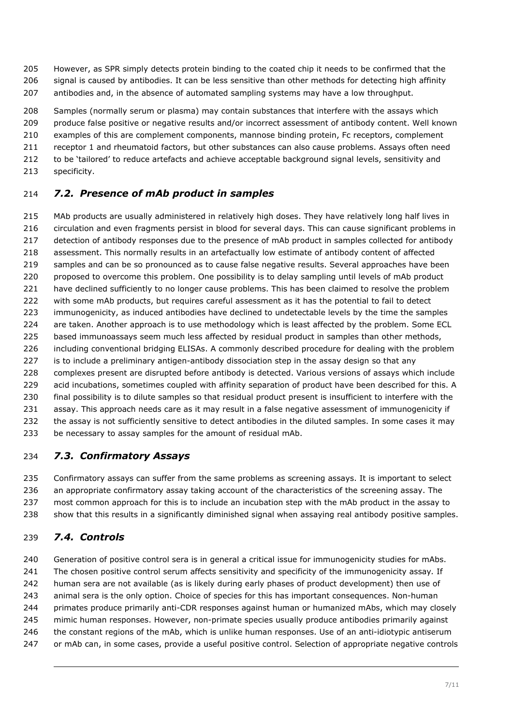However, as SPR simply detects protein binding to the coated chip it needs to be confirmed that the 206 signal is caused by antibodies. It can be less sensitive than other methods for detecting high affinity antibodies and, in the absence of automated sampling systems may have a low throughput.

 Samples (normally serum or plasma) may contain substances that interfere with the assays which produce false positive or negative results and/or incorrect assessment of antibody content. Well known examples of this are complement components, mannose binding protein, Fc receptors, complement receptor 1 and rheumatoid factors, but other substances can also cause problems. Assays often need

to be 'tailored' to reduce artefacts and achieve acceptable background signal levels, sensitivity and

specificity.

#### <span id="page-6-0"></span>*7.2. Presence of mAb product in samples*

 MAb products are usually administered in relatively high doses. They have relatively long half lives in circulation and even fragments persist in blood for several days. This can cause significant problems in 217 detection of antibody responses due to the presence of mAb product in samples collected for antibody assessment. This normally results in an artefactually low estimate of antibody content of affected samples and can be so pronounced as to cause false negative results. Several approaches have been proposed to overcome this problem. One possibility is to delay sampling until levels of mAb product 221 have declined sufficiently to no longer cause problems. This has been claimed to resolve the problem 222 with some mAb products, but requires careful assessment as it has the potential to fail to detect immunogenicity, as induced antibodies have declined to undetectable levels by the time the samples 224 are taken. Another approach is to use methodology which is least affected by the problem. Some ECL 225 based immunoassays seem much less affected by residual product in samples than other methods, including conventional bridging ELISAs. A commonly described procedure for dealing with the problem is to include a preliminary antigen-antibody dissociation step in the assay design so that any complexes present are disrupted before antibody is detected. Various versions of assays which include 229 acid incubations, sometimes coupled with affinity separation of product have been described for this. A final possibility is to dilute samples so that residual product present is insufficient to interfere with the 231 assay. This approach needs care as it may result in a false negative assessment of immunogenicity if the assay is not sufficiently sensitive to detect antibodies in the diluted samples. In some cases it may be necessary to assay samples for the amount of residual mAb.

#### <span id="page-6-1"></span>*7.3. Confirmatory Assays*

 Confirmatory assays can suffer from the same problems as screening assays. It is important to select an appropriate confirmatory assay taking account of the characteristics of the screening assay. The most common approach for this is to include an incubation step with the mAb product in the assay to show that this results in a significantly diminished signal when assaying real antibody positive samples.

#### <span id="page-6-2"></span>*7.4. Controls*

 Generation of positive control sera is in general a critical issue for immunogenicity studies for mAbs. The chosen positive control serum affects sensitivity and specificity of the immunogenicity assay*.* If human sera are not available (as is likely during early phases of product development) then use of animal sera is the only option. Choice of species for this has important consequences. Non-human primates produce primarily anti-CDR responses against human or humanized mAbs, which may closely mimic human responses. However, non-primate species usually produce antibodies primarily against the constant regions of the mAb, which is unlike human responses. Use of an anti-idiotypic antiserum or mAb can, in some cases, provide a useful positive control. Selection of appropriate negative controls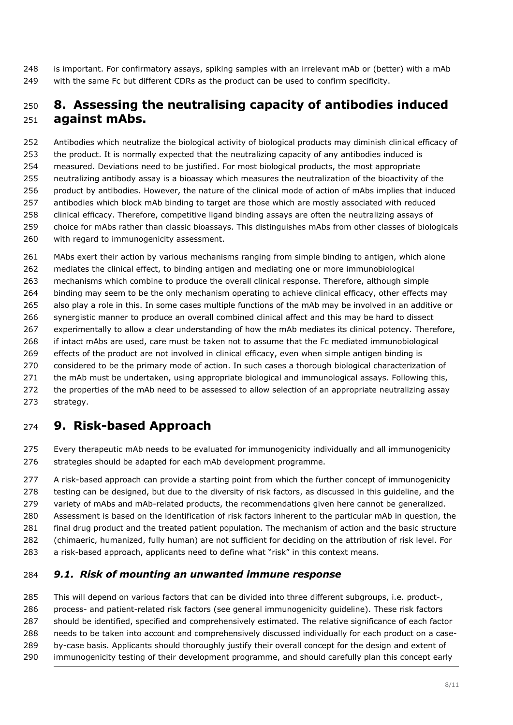is important. For confirmatory assays, spiking samples with an irrelevant mAb or (better) with a mAb 249 with the same Fc but different CDRs as the product can be used to confirm specificity.

### <span id="page-7-0"></span> **8. Assessing the neutralising capacity of antibodies induced against mAbs.**

 Antibodies which neutralize the biological activity of biological products may diminish clinical efficacy of the product. It is normally expected that the neutralizing capacity of any antibodies induced is measured. Deviations need to be justified. For most biological products, the most appropriate neutralizing antibody assay is a bioassay which measures the neutralization of the bioactivity of the product by antibodies. However, the nature of the clinical mode of action of mAbs implies that induced antibodies which block mAb binding to target are those which are mostly associated with reduced clinical efficacy. Therefore, competitive ligand binding assays are often the neutralizing assays of choice for mAbs rather than classic bioassays. This distinguishes mAbs from other classes of biologicals with regard to immunogenicity assessment.

 MAbs exert their action by various mechanisms ranging from simple binding to antigen, which alone mediates the clinical effect, to binding antigen and mediating one or more immunobiological mechanisms which combine to produce the overall clinical response. Therefore, although simple binding may seem to be the only mechanism operating to achieve clinical efficacy, other effects may also play a role in this. In some cases multiple functions of the mAb may be involved in an additive or synergistic manner to produce an overall combined clinical affect and this may be hard to dissect experimentally to allow a clear understanding of how the mAb mediates its clinical potency. Therefore, if intact mAbs are used, care must be taken not to assume that the Fc mediated immunobiological effects of the product are not involved in clinical efficacy, even when simple antigen binding is considered to be the primary mode of action. In such cases a thorough biological characterization of 271 the mAb must be undertaken, using appropriate biological and immunological assays. Following this, 272 the properties of the mAb need to be assessed to allow selection of an appropriate neutralizing assay strategy.

# <span id="page-7-1"></span>**9. Risk-based Approach**

 Every therapeutic mAb needs to be evaluated for immunogenicity individually and all immunogenicity 276 strategies should be adapted for each mAb development programme.

277 A risk-based approach can provide a starting point from which the further concept of immunogenicity 278 testing can be designed, but due to the diversity of risk factors, as discussed in this guideline, and the 279 variety of mAbs and mAb-related products, the recommendations given here cannot be generalized. Assessment is based on the identification of risk factors inherent to the particular mAb in question, the final drug product and the treated patient population. The mechanism of action and the basic structure (chimaeric, humanized, fully human) are not sufficient for deciding on the attribution of risk level. For a risk-based approach, applicants need to define what "risk" in this context means.

#### <span id="page-7-2"></span>*9.1. Risk of mounting an unwanted immune response*

 This will depend on various factors that can be divided into three different subgroups, i.e. product-, process- and patient-related risk factors (see general immunogenicity guideline). These risk factors should be identified, specified and comprehensively estimated. The relative significance of each factor needs to be taken into account and comprehensively discussed individually for each product on a case- by-case basis. Applicants should thoroughly justify their overall concept for the design and extent of immunogenicity testing of their development programme, and should carefully plan this concept early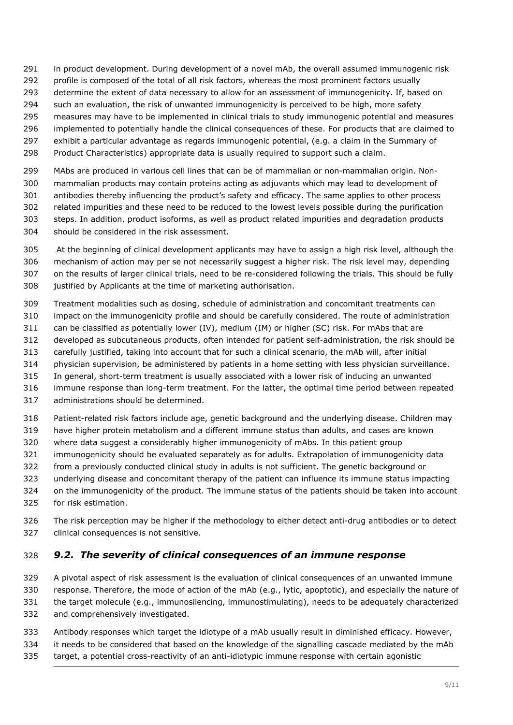- in product development. During development of a novel mAb, the overall assumed immunogenic risk
- 292 profile is composed of the total of all risk factors, whereas the most prominent factors usually
- 293 determine the extent of data necessary to allow for an assessment of immunogenicity. If, based on
- 294 such an evaluation, the risk of unwanted immunogenicity is perceived to be high, more safety
- measures may have to be implemented in clinical trials to study immunogenic potential and measures
- implemented to potentially handle the clinical consequences of these. For products that are claimed to
- exhibit a particular advantage as regards immunogenic potential, (e.g. a claim in the Summary of
- Product Characteristics) appropriate data is usually required to support such a claim.
- MAbs are produced in various cell lines that can be of mammalian or non-mammalian origin. Non- mammalian products may contain proteins acting as adjuvants which may lead to development of antibodies thereby influencing the product's safety and efficacy. The same applies to other process related impurities and these need to be reduced to the lowest levels possible during the purification steps. In addition, product isoforms, as well as product related impurities and degradation products should be considered in the risk assessment.
- 305 At the beginning of clinical development applicants may have to assign a high risk level, although the mechanism of action may per se not necessarily suggest a higher risk. The risk level may, depending on the results of larger clinical trials, need to be re-considered following the trials. This should be fully justified by Applicants at the time of marketing authorisation.
- Treatment modalities such as dosing, schedule of administration and concomitant treatments can impact on the immunogenicity profile and should be carefully considered. The route of administration
- 311 can be classified as potentially lower (IV), medium (IM) or higher (SC) risk. For mAbs that are
- developed as subcutaneous products, often intended for patient self-administration, the risk should be
- carefully justified, taking into account that for such a clinical scenario, the mAb will, after initial
- physician supervision, be administered by patients in a home setting with less physician surveillance.
- In general, short-term treatment is usually associated with a lower risk of inducing an unwanted
- immune response than long-term treatment. For the latter, the optimal time period between repeated
- administrations should be determined.
- Patient-related risk factors include age, genetic background and the underlying disease. Children may
- have higher protein metabolism and a different immune status than adults, and cases are known
- where data suggest a considerably higher immunogenicity of mAbs. In this patient group
- immunogenicity should be evaluated separately as for adults. Extrapolation of immunogenicity data
- from a previously conducted clinical study in adults is not sufficient. The genetic background or
- underlying disease and concomitant therapy of the patient can influence its immune status impacting
- on the immunogenicity of the product. The immune status of the patients should be taken into account for risk estimation.
- The risk perception may be higher if the methodology to either detect anti-drug antibodies or to detect clinical consequences is not sensitive.

#### <span id="page-8-0"></span>*9.2. The severity of clinical consequences of an immune response*

- A pivotal aspect of risk assessment is the evaluation of clinical consequences of an unwanted immune response. Therefore, the mode of action of the mAb (e.g., lytic, apoptotic), and especially the nature of the target molecule (e.g., immunosilencing, immunostimulating), needs to be adequately characterized and comprehensively investigated.
- Antibody responses which target the idiotype of a mAb usually result in diminished efficacy. However, it needs to be considered that based on the knowledge of the signalling cascade mediated by the mAb target, a potential cross-reactivity of an anti-idiotypic immune response with certain agonistic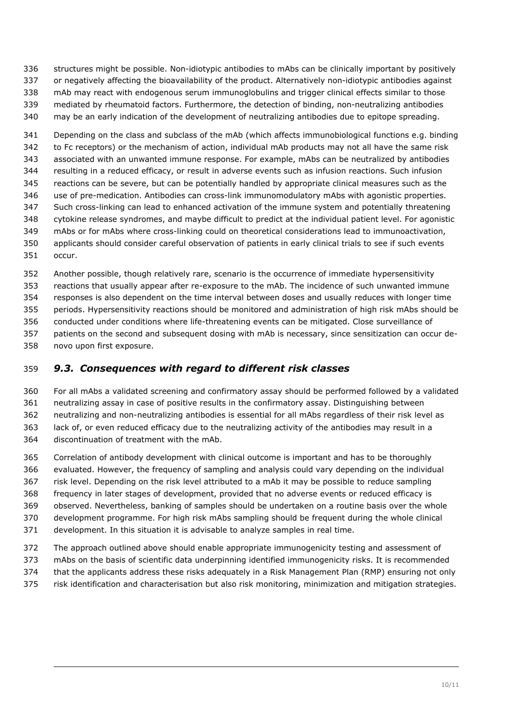structures might be possible. Non-idiotypic antibodies to mAbs can be clinically important by positively or negatively affecting the bioavailability of the product. Alternatively non-idiotypic antibodies against mAb may react with endogenous serum immunoglobulins and trigger clinical effects similar to those mediated by rheumatoid factors. Furthermore, the detection of binding, non-neutralizing antibodies

may be an early indication of the development of neutralizing antibodies due to epitope spreading.

 Depending on the class and subclass of the mAb (which affects immunobiological functions e.g. binding to Fc receptors) or the mechanism of action, individual mAb products may not all have the same risk associated with an unwanted immune response. For example, mAbs can be neutralized by antibodies resulting in a reduced efficacy, or result in adverse events such as infusion reactions. Such infusion reactions can be severe, but can be potentially handled by appropriate clinical measures such as the use of pre-medication. Antibodies can cross-link immunomodulatory mAbs with agonistic properties. Such cross-linking can lead to enhanced activation of the immune system and potentially threatening cytokine release syndromes, and maybe difficult to predict at the individual patient level. For agonistic mAbs or for mAbs where cross-linking could on theoretical considerations lead to immunoactivation, applicants should consider careful observation of patients in early clinical trials to see if such events occur.

 Another possible, though relatively rare, scenario is the occurrence of immediate hypersensitivity reactions that usually appear after re-exposure to the mAb. The incidence of such unwanted immune responses is also dependent on the time interval between doses and usually reduces with longer time periods. Hypersensitivity reactions should be monitored and administration of high risk mAbs should be conducted under conditions where life-threatening events can be mitigated. Close surveillance of patients on the second and subsequent dosing with mAb is necessary, since sensitization can occur de-novo upon first exposure.

#### <span id="page-9-0"></span>*9.3. Consequences with regard to different risk classes*

 For all mAbs a validated screening and confirmatory assay should be performed followed by a validated neutralizing assay in case of positive results in the confirmatory assay. Distinguishing between neutralizing and non-neutralizing antibodies is essential for all mAbs regardless of their risk level as lack of, or even reduced efficacy due to the neutralizing activity of the antibodies may result in a discontinuation of treatment with the mAb.

 Correlation of antibody development with clinical outcome is important and has to be thoroughly evaluated. However, the frequency of sampling and analysis could vary depending on the individual risk level. Depending on the risk level attributed to a mAb it may be possible to reduce sampling frequency in later stages of development, provided that no adverse events or reduced efficacy is observed. Nevertheless, banking of samples should be undertaken on a routine basis over the whole development programme. For high risk mAbs sampling should be frequent during the whole clinical development. In this situation it is advisable to analyze samples in real time.

 The approach outlined above should enable appropriate immunogenicity testing and assessment of mAbs on the basis of scientific data underpinning identified immunogenicity risks. It is recommended

- that the applicants address these risks adequately in a Risk Management Plan (RMP) ensuring not only
- risk identification and characterisation but also risk monitoring, minimization and mitigation strategies.